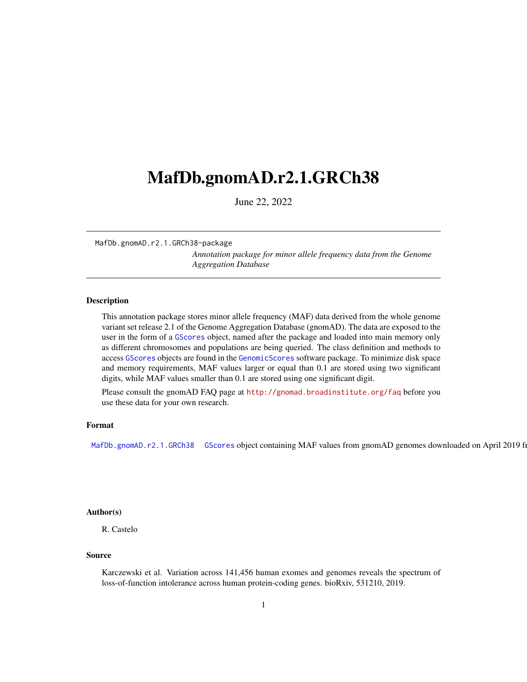# <span id="page-0-2"></span><span id="page-0-1"></span>MafDb.gnomAD.r2.1.GRCh38

June 22, 2022

MafDb.gnomAD.r2.1.GRCh38-package

*Annotation package for minor allele frequency data from the Genome Aggregation Database*

#### <span id="page-0-0"></span>Description

This annotation package stores minor allele frequency (MAF) data derived from the whole genome variant set release 2.1 of the Genome Aggregation Database (gnomAD). The data are exposed to the user in the form of a GScores object, named after the package and loaded into main memory only as different chromosomes and populations are being queried. The class definition and methods to access GScores objects are found in the GenomicScores software package. To minimize disk space and memory requirements, MAF values larger or equal than 0.1 are stored using two significant digits, while MAF values smaller than 0.1 are stored using one significant digit.

Please consult the gnomAD FAQ page at <http://gnomad.broadinstitute.org/faq> before you use these data for your own research.

## Format

[MafDb.gnomAD.r2.1.GRCh38](#page-0-0) GScores object containing MAF values from gnomAD genomes downloaded on April 2019 fi

## Author(s)

R. Castelo

#### Source

Karczewski et al. Variation across 141,456 human exomes and genomes reveals the spectrum of loss-of-function intolerance across human protein-coding genes. bioRxiv, 531210, 2019.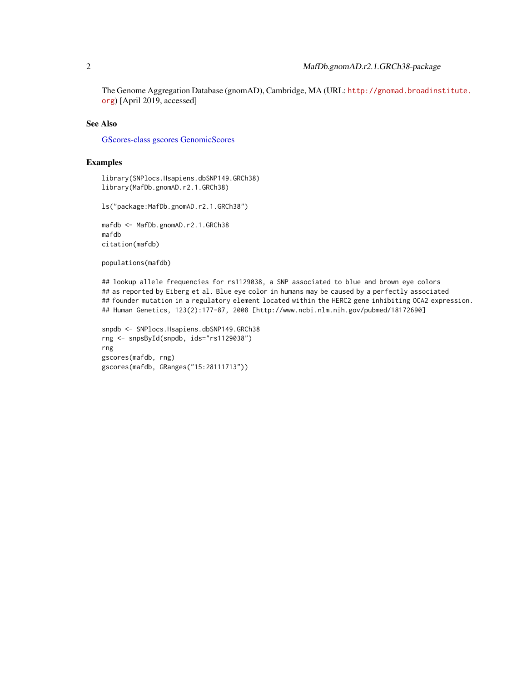<span id="page-1-0"></span>The Genome Aggregation Database (gnomAD), Cambridge, MA (URL: [http://gnomad.broadins](http://gnomad.broadinstitute.org)titute. [org](http://gnomad.broadinstitute.org)) [April 2019, accessed]

# See Also

[GScores-class](#page-0-1) [gscores](#page-0-1) [GenomicScores](#page-0-1)

#### Examples

library(SNPlocs.Hsapiens.dbSNP149.GRCh38) library(MafDb.gnomAD.r2.1.GRCh38)

ls("package:MafDb.gnomAD.r2.1.GRCh38")

mafdb <- MafDb.gnomAD.r2.1.GRCh38 mafdb citation(mafdb)

populations(mafdb)

## lookup allele frequencies for rs1129038, a SNP associated to blue and brown eye colors ## as reported by Eiberg et al. Blue eye color in humans may be caused by a perfectly associated ## founder mutation in a regulatory element located within the HERC2 gene inhibiting OCA2 expression. ## Human Genetics, 123(2):177-87, 2008 [http://www.ncbi.nlm.nih.gov/pubmed/18172690]

```
snpdb <- SNPlocs.Hsapiens.dbSNP149.GRCh38
rng <- snpsById(snpdb, ids="rs1129038")
rng
gscores(mafdb, rng)
gscores(mafdb, GRanges("15:28111713"))
```